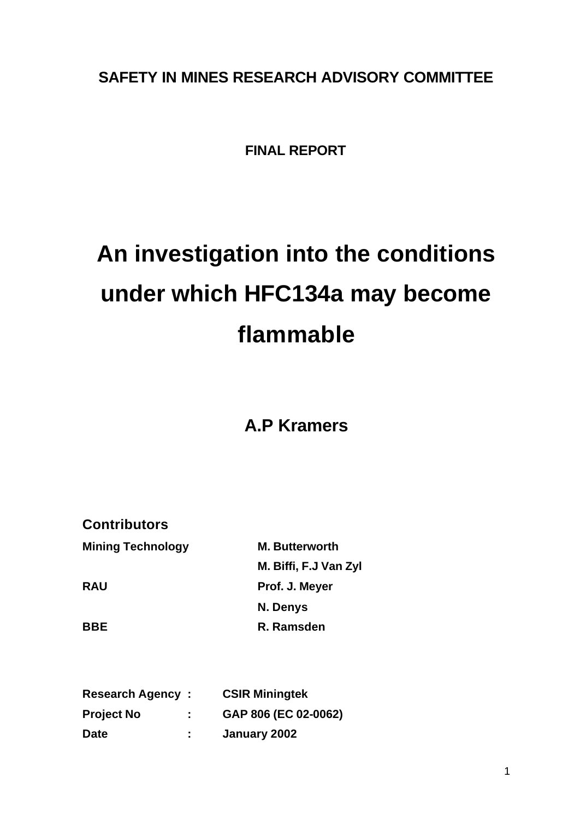# **SAFETY IN MINES RESEARCH ADVISORY COMMITTEE**

# **FINAL REPORT**

# **An investigation into the conditions under which HFC134a may become flammable**

# **A.P Kramers**

| <b>Contributors</b>   |  |  |
|-----------------------|--|--|
| <b>M. Butterworth</b> |  |  |
| M. Biffi, F.J Van Zyl |  |  |
| Prof. J. Meyer        |  |  |
| N. Denys              |  |  |
| R. Ramsden            |  |  |
|                       |  |  |

| <b>Research Agency:</b> |    | <b>CSIR Miningtek</b> |
|-------------------------|----|-----------------------|
| <b>Project No</b>       |    | GAP 806 (EC 02-0062)  |
| <b>Date</b>             | ÷. | January 2002          |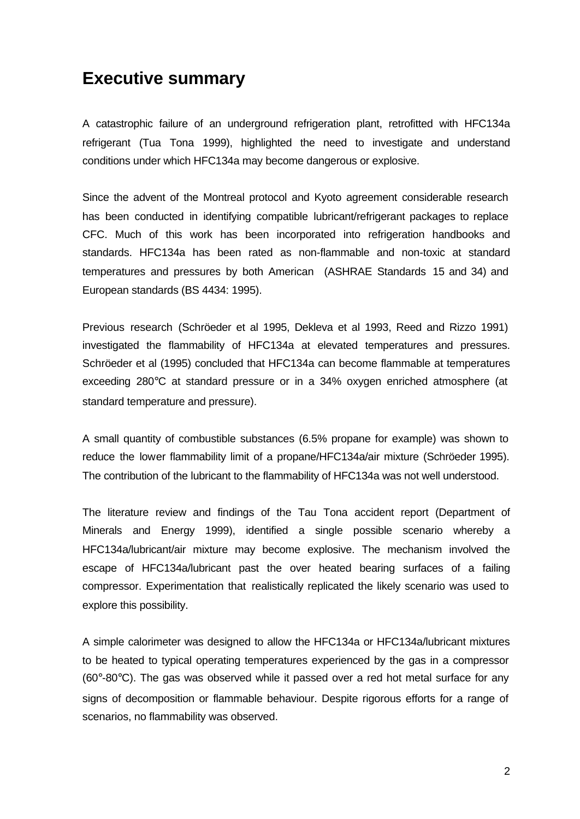# **Executive summary**

A catastrophic failure of an underground refrigeration plant, retrofitted with HFC134a refrigerant (Tua Tona 1999), highlighted the need to investigate and understand conditions under which HFC134a may become dangerous or explosive.

Since the advent of the Montreal protocol and Kyoto agreement considerable research has been conducted in identifying compatible lubricant/refrigerant packages to replace CFC. Much of this work has been incorporated into refrigeration handbooks and standards. HFC134a has been rated as non-flammable and non-toxic at standard temperatures and pressures by both American (ASHRAE Standards 15 and 34) and European standards (BS 4434: 1995).

Previous research (Schröeder et al 1995, Dekleva et al 1993, Reed and Rizzo 1991) investigated the flammability of HFC134a at elevated temperatures and pressures. Schröeder et al (1995) concluded that HFC134a can become flammable at temperatures exceeding 280°C at standard pressure or in a 34% oxygen enriched atmosphere (at standard temperature and pressure).

A small quantity of combustible substances (6.5% propane for example) was shown to reduce the lower flammability limit of a propane/HFC134a/air mixture (Schröeder 1995). The contribution of the lubricant to the flammability of HFC134a was not well understood.

The literature review and findings of the Tau Tona accident report (Department of Minerals and Energy 1999), identified a single possible scenario whereby a HFC134a/lubricant/air mixture may become explosive. The mechanism involved the escape of HFC134a/lubricant past the over heated bearing surfaces of a failing compressor. Experimentation that realistically replicated the likely scenario was used to explore this possibility.

A simple calorimeter was designed to allow the HFC134a or HFC134a/lubricant mixtures to be heated to typical operating temperatures experienced by the gas in a compressor  $(60^{\circ}$ -80 $^{\circ}$ C). The gas was observed while it passed over a red hot metal surface for any signs of decomposition or flammable behaviour. Despite rigorous efforts for a range of scenarios, no flammability was observed.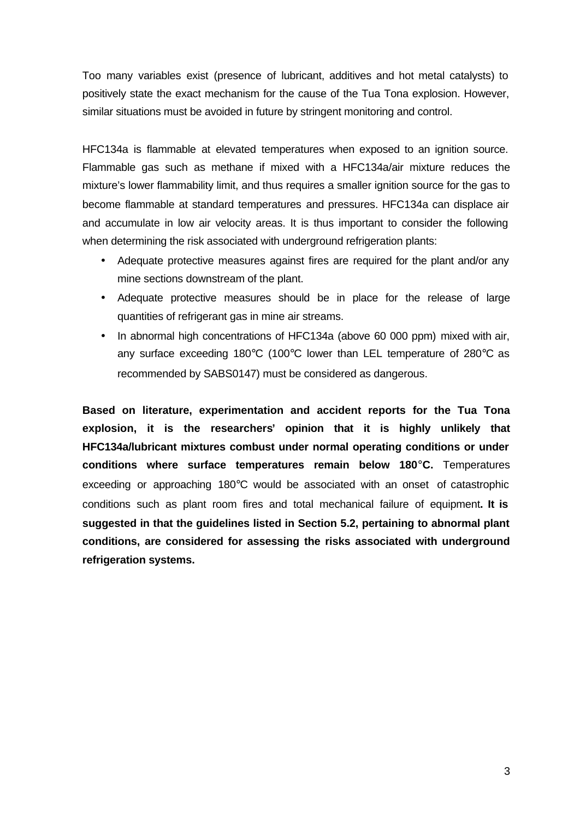Too many variables exist (presence of lubricant, additives and hot metal catalysts) to positively state the exact mechanism for the cause of the Tua Tona explosion. However, similar situations must be avoided in future by stringent monitoring and control.

HFC134a is flammable at elevated temperatures when exposed to an ignition source. Flammable gas such as methane if mixed with a HFC134a/air mixture reduces the mixture's lower flammability limit, and thus requires a smaller ignition source for the gas to become flammable at standard temperatures and pressures. HFC134a can displace air and accumulate in low air velocity areas. It is thus important to consider the following when determining the risk associated with underground refrigeration plants:

- Adequate protective measures against fires are required for the plant and/or any mine sections downstream of the plant.
- Adequate protective measures should be in place for the release of large quantities of refrigerant gas in mine air streams.
- In abnormal high concentrations of HFC134a (above 60 000 ppm) mixed with air, any surface exceeding 180°C (100°C lower than LEL temperature of 280°C as recommended by SABS0147) must be considered as dangerous.

**Based on literature, experimentation and accident reports for the Tua Tona explosion, it is the researchers' opinion that it is highly unlikely that HFC134a/lubricant mixtures combust under normal operating conditions or under conditions where surface temperatures remain below 180°C.** Temperatures exceeding or approaching 180°C would be associated with an onset of catastrophic conditions such as plant room fires and total mechanical failure of equipment**. It is suggested in that the guidelines listed in Section 5.2, pertaining to abnormal plant conditions, are considered for assessing the risks associated with underground refrigeration systems.**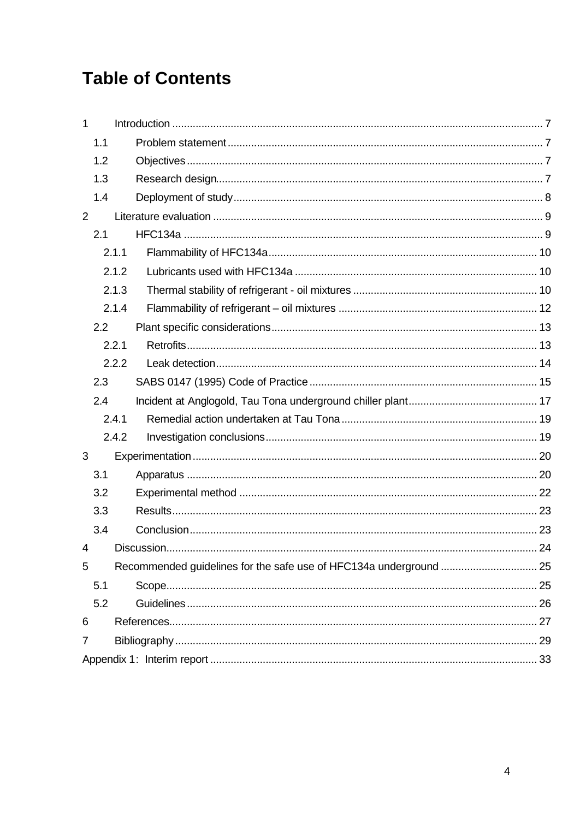# **Table of Contents**

| $\mathbf{1}$   |       |  |
|----------------|-------|--|
|                | 1.1   |  |
|                | 1.2   |  |
|                | 1.3   |  |
|                | 1.4   |  |
| $\overline{2}$ |       |  |
|                | 2.1   |  |
|                | 2.1.1 |  |
|                | 2.1.2 |  |
|                | 2.1.3 |  |
|                | 2.1.4 |  |
|                | 2.2   |  |
|                | 2.2.1 |  |
|                | 2.2.2 |  |
|                | 2.3   |  |
|                | 2.4   |  |
|                | 2.4.1 |  |
|                | 2.4.2 |  |
| 3              |       |  |
|                | 3.1   |  |
|                | 3.2   |  |
|                | 3.3   |  |
|                | 3.4   |  |
| 4              |       |  |
| 5              |       |  |
|                | 5.1   |  |
|                | 5.2   |  |
| 6              |       |  |
| 7              |       |  |
|                |       |  |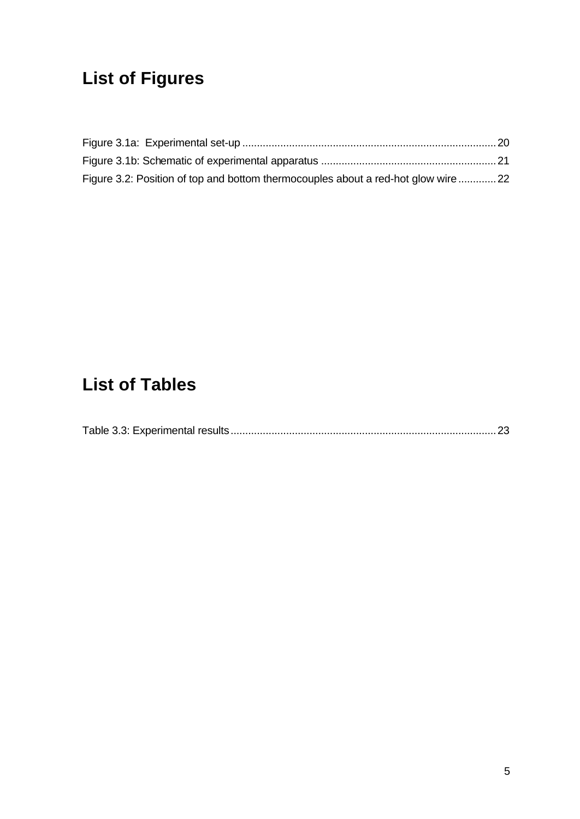# **List of Figures**

| Figure 3.2: Position of top and bottom thermocouples about a red-hot glow wire  22 |  |
|------------------------------------------------------------------------------------|--|

# **List of Tables**

|--|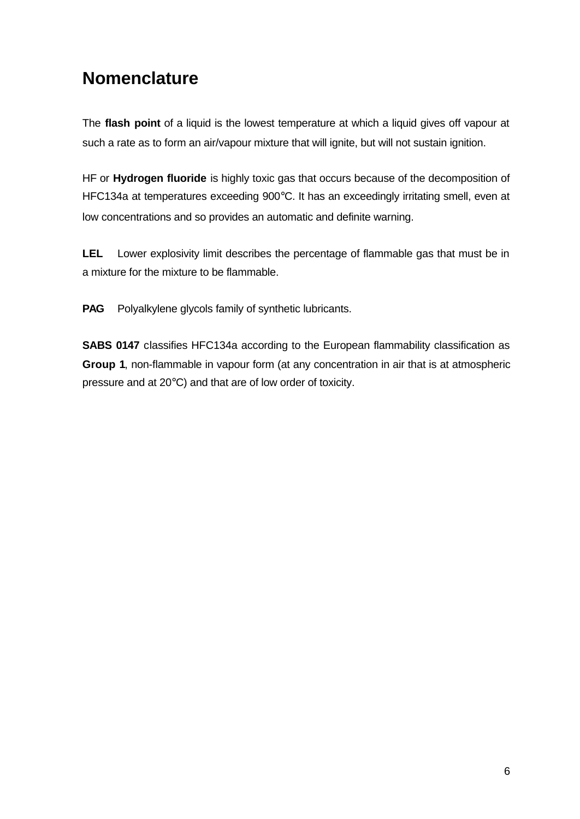# **Nomenclature**

The **flash point** of a liquid is the lowest temperature at which a liquid gives off vapour at such a rate as to form an air/vapour mixture that will ignite, but will not sustain ignition.

HF or **Hydrogen fluoride** is highly toxic gas that occurs because of the decomposition of HFC134a at temperatures exceeding 900°C. It has an exceedingly irritating smell, even at low concentrations and so provides an automatic and definite warning.

**LEL** Lower explosivity limit describes the percentage of flammable gas that must be in a mixture for the mixture to be flammable.

**PAG** Polyalkylene glycols family of synthetic lubricants.

**SABS 0147** classifies HFC134a according to the European flammability classification as **Group 1**, non-flammable in vapour form (at any concentration in air that is at atmospheric pressure and at 20°C) and that are of low order of toxicity.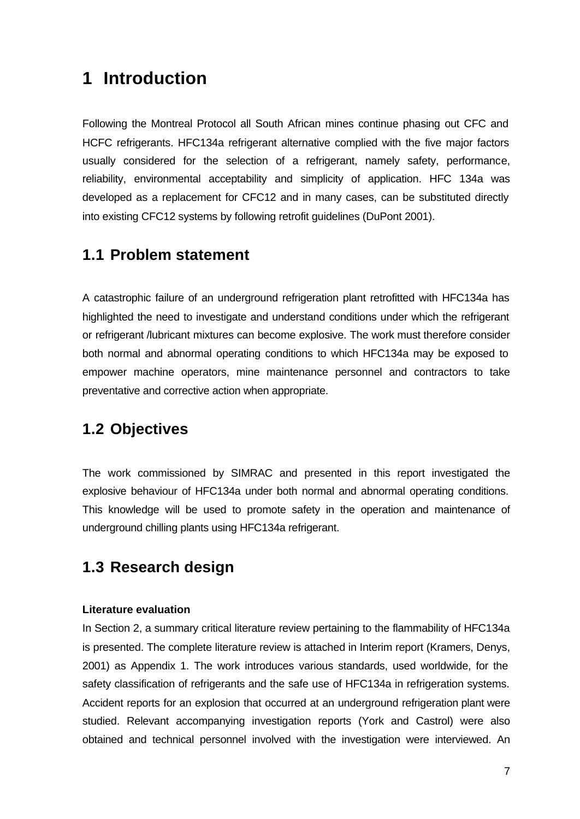# **1 Introduction**

Following the Montreal Protocol all South African mines continue phasing out CFC and HCFC refrigerants. HFC134a refrigerant alternative complied with the five major factors usually considered for the selection of a refrigerant, namely safety, performance, reliability, environmental acceptability and simplicity of application. HFC 134a was developed as a replacement for CFC12 and in many cases, can be substituted directly into existing CFC12 systems by following retrofit guidelines (DuPont 2001).

### **1.1 Problem statement**

A catastrophic failure of an underground refrigeration plant retrofitted with HFC134a has highlighted the need to investigate and understand conditions under which the refrigerant or refrigerant /lubricant mixtures can become explosive. The work must therefore consider both normal and abnormal operating conditions to which HFC134a may be exposed to empower machine operators, mine maintenance personnel and contractors to take preventative and corrective action when appropriate.

# **1.2 Objectives**

The work commissioned by SIMRAC and presented in this report investigated the explosive behaviour of HFC134a under both normal and abnormal operating conditions. This knowledge will be used to promote safety in the operation and maintenance of underground chilling plants using HFC134a refrigerant.

# **1.3 Research design**

#### **Literature evaluation**

In Section 2, a summary critical literature review pertaining to the flammability of HFC134a is presented. The complete literature review is attached in Interim report (Kramers, Denys, 2001) as Appendix 1. The work introduces various standards, used worldwide, for the safety classification of refrigerants and the safe use of HFC134a in refrigeration systems. Accident reports for an explosion that occurred at an underground refrigeration plant were studied. Relevant accompanying investigation reports (York and Castrol) were also obtained and technical personnel involved with the investigation were interviewed. An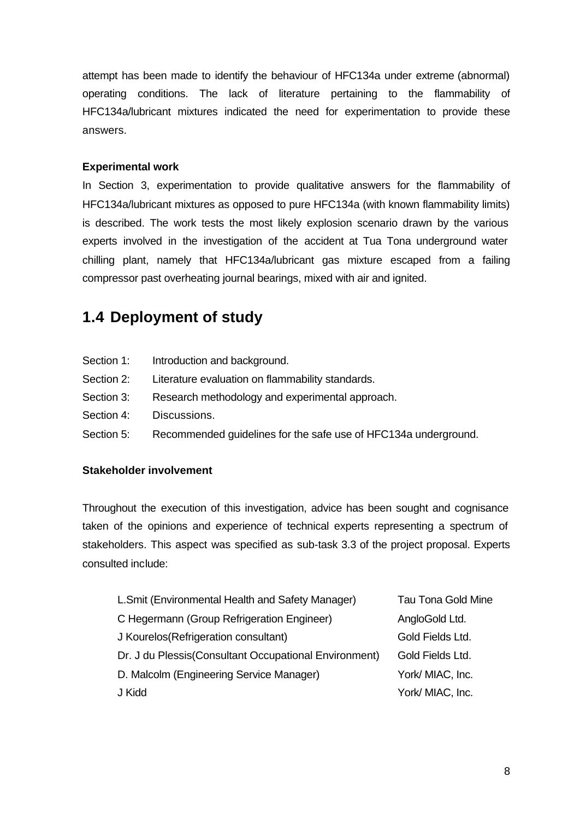attempt has been made to identify the behaviour of HFC134a under extreme (abnormal) operating conditions. The lack of literature pertaining to the flammability of HFC134a/lubricant mixtures indicated the need for experimentation to provide these answers.

#### **Experimental work**

In Section 3, experimentation to provide qualitative answers for the flammability of HFC134a/lubricant mixtures as opposed to pure HFC134a (with known flammability limits) is described. The work tests the most likely explosion scenario drawn by the various experts involved in the investigation of the accident at Tua Tona underground water chilling plant, namely that HFC134a/lubricant gas mixture escaped from a failing compressor past overheating journal bearings, mixed with air and ignited.

# **1.4 Deployment of study**

- Section 1: Introduction and background.
- Section 2: Literature evaluation on flammability standards.
- Section 3: Research methodology and experimental approach.
- Section 4: Discussions.
- Section 5: Recommended guidelines for the safe use of HFC134a underground.

#### **Stakeholder involvement**

Throughout the execution of this investigation, advice has been sought and cognisance taken of the opinions and experience of technical experts representing a spectrum of stakeholders. This aspect was specified as sub-task 3.3 of the project proposal. Experts consulted include:

| <b>Tau Tona Gold Mine</b> |
|---------------------------|
| AngloGold Ltd.            |
| Gold Fields Ltd.          |
| Gold Fields Ltd.          |
| York/ MIAC, Inc.          |
| York/ MIAC, Inc.          |
|                           |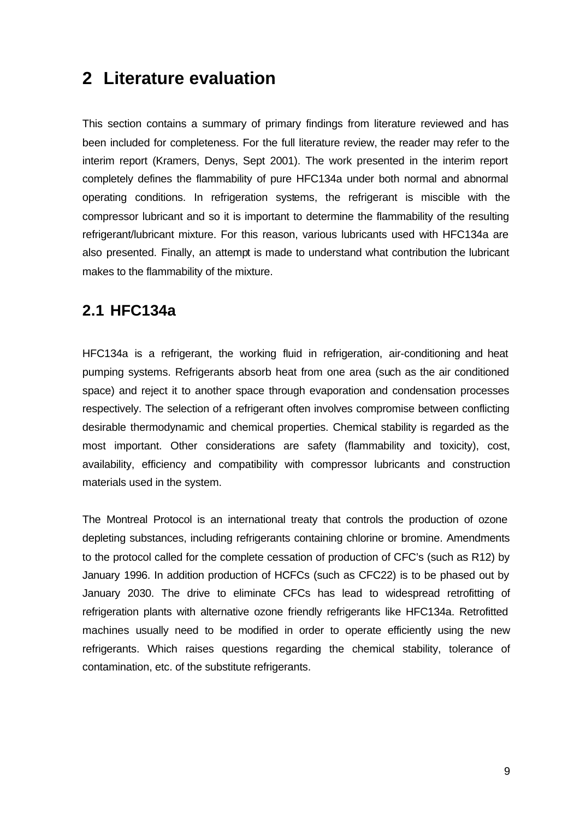# **2 Literature evaluation**

This section contains a summary of primary findings from literature reviewed and has been included for completeness. For the full literature review, the reader may refer to the interim report (Kramers, Denys, Sept 2001). The work presented in the interim report completely defines the flammability of pure HFC134a under both normal and abnormal operating conditions. In refrigeration systems, the refrigerant is miscible with the compressor lubricant and so it is important to determine the flammability of the resulting refrigerant/lubricant mixture. For this reason, various lubricants used with HFC134a are also presented. Finally, an attempt is made to understand what contribution the lubricant makes to the flammability of the mixture.

# **2.1 HFC134a**

HFC134a is a refrigerant, the working fluid in refrigeration, air-conditioning and heat pumping systems. Refrigerants absorb heat from one area (such as the air conditioned space) and reject it to another space through evaporation and condensation processes respectively. The selection of a refrigerant often involves compromise between conflicting desirable thermodynamic and chemical properties. Chemical stability is regarded as the most important. Other considerations are safety (flammability and toxicity), cost, availability, efficiency and compatibility with compressor lubricants and construction materials used in the system.

The Montreal Protocol is an international treaty that controls the production of ozone depleting substances, including refrigerants containing chlorine or bromine. Amendments to the protocol called for the complete cessation of production of CFC's (such as R12) by January 1996. In addition production of HCFCs (such as CFC22) is to be phased out by January 2030. The drive to eliminate CFCs has lead to widespread retrofitting of refrigeration plants with alternative ozone friendly refrigerants like HFC134a. Retrofitted machines usually need to be modified in order to operate efficiently using the new refrigerants. Which raises questions regarding the chemical stability, tolerance of contamination, etc. of the substitute refrigerants.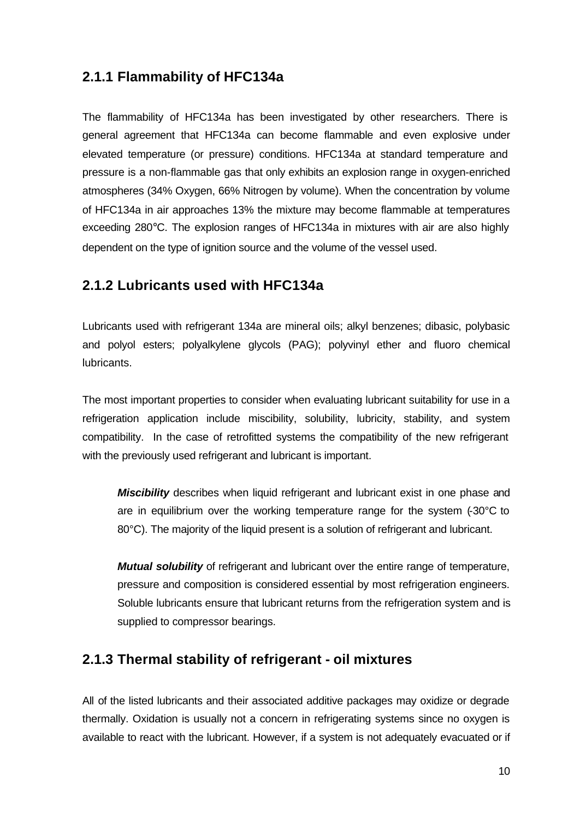# **2.1.1 Flammability of HFC134a**

The flammability of HFC134a has been investigated by other researchers. There is general agreement that HFC134a can become flammable and even explosive under elevated temperature (or pressure) conditions. HFC134a at standard temperature and pressure is a non-flammable gas that only exhibits an explosion range in oxygen-enriched atmospheres (34% Oxygen, 66% Nitrogen by volume). When the concentration by volume of HFC134a in air approaches 13% the mixture may become flammable at temperatures exceeding 280°C. The explosion ranges of HFC134a in mixtures with air are also highly dependent on the type of ignition source and the volume of the vessel used.

### **2.1.2 Lubricants used with HFC134a**

Lubricants used with refrigerant 134a are mineral oils; alkyl benzenes; dibasic, polybasic and polyol esters; polyalkylene glycols (PAG); polyvinyl ether and fluoro chemical lubricants.

The most important properties to consider when evaluating lubricant suitability for use in a refrigeration application include miscibility, solubility, lubricity, stability, and system compatibility. In the case of retrofitted systems the compatibility of the new refrigerant with the previously used refrigerant and lubricant is important.

*Miscibility* describes when liquid refrigerant and lubricant exist in one phase and are in equilibrium over the working temperature range for the system (-30°C to 80°C). The majority of the liquid present is a solution of refrigerant and lubricant.

*Mutual solubility* of refrigerant and lubricant over the entire range of temperature, pressure and composition is considered essential by most refrigeration engineers. Soluble lubricants ensure that lubricant returns from the refrigeration system and is supplied to compressor bearings.

### **2.1.3 Thermal stability of refrigerant - oil mixtures**

All of the listed lubricants and their associated additive packages may oxidize or degrade thermally. Oxidation is usually not a concern in refrigerating systems since no oxygen is available to react with the lubricant. However, if a system is not adequately evacuated or if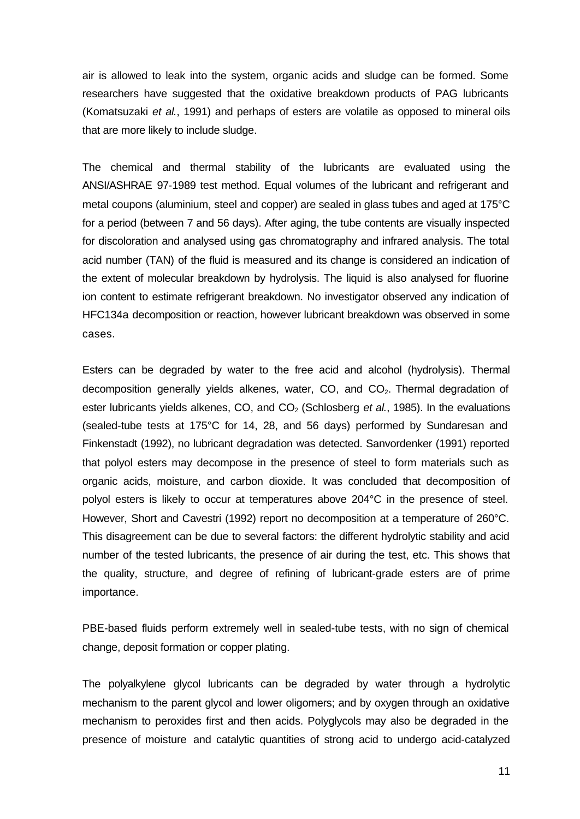air is allowed to leak into the system, organic acids and sludge can be formed. Some researchers have suggested that the oxidative breakdown products of PAG lubricants (Komatsuzaki *et al.*, 1991) and perhaps of esters are volatile as opposed to mineral oils that are more likely to include sludge.

The chemical and thermal stability of the lubricants are evaluated using the ANSI/ASHRAE 97-1989 test method. Equal volumes of the lubricant and refrigerant and metal coupons (aluminium, steel and copper) are sealed in glass tubes and aged at 175°C for a period (between 7 and 56 days). After aging, the tube contents are visually inspected for discoloration and analysed using gas chromatography and infrared analysis. The total acid number (TAN) of the fluid is measured and its change is considered an indication of the extent of molecular breakdown by hydrolysis. The liquid is also analysed for fluorine ion content to estimate refrigerant breakdown. No investigator observed any indication of HFC134a decomposition or reaction, however lubricant breakdown was observed in some cases.

Esters can be degraded by water to the free acid and alcohol (hydrolysis). Thermal decomposition generally yields alkenes, water, CO, and CO<sub>2</sub>. Thermal degradation of ester lubricants yields alkenes, CO, and CO<sub>2</sub> (Schlosberg *et al.*, 1985). In the evaluations (sealed-tube tests at 175°C for 14, 28, and 56 days) performed by Sundaresan and Finkenstadt (1992), no lubricant degradation was detected. Sanvordenker (1991) reported that polyol esters may decompose in the presence of steel to form materials such as organic acids, moisture, and carbon dioxide. It was concluded that decomposition of polyol esters is likely to occur at temperatures above 204°C in the presence of steel. However, Short and Cavestri (1992) report no decomposition at a temperature of 260°C. This disagreement can be due to several factors: the different hydrolytic stability and acid number of the tested lubricants, the presence of air during the test, etc. This shows that the quality, structure, and degree of refining of lubricant-grade esters are of prime importance.

PBE-based fluids perform extremely well in sealed-tube tests, with no sign of chemical change, deposit formation or copper plating.

The polyalkylene glycol lubricants can be degraded by water through a hydrolytic mechanism to the parent glycol and lower oligomers; and by oxygen through an oxidative mechanism to peroxides first and then acids. Polyglycols may also be degraded in the presence of moisture and catalytic quantities of strong acid to undergo acid-catalyzed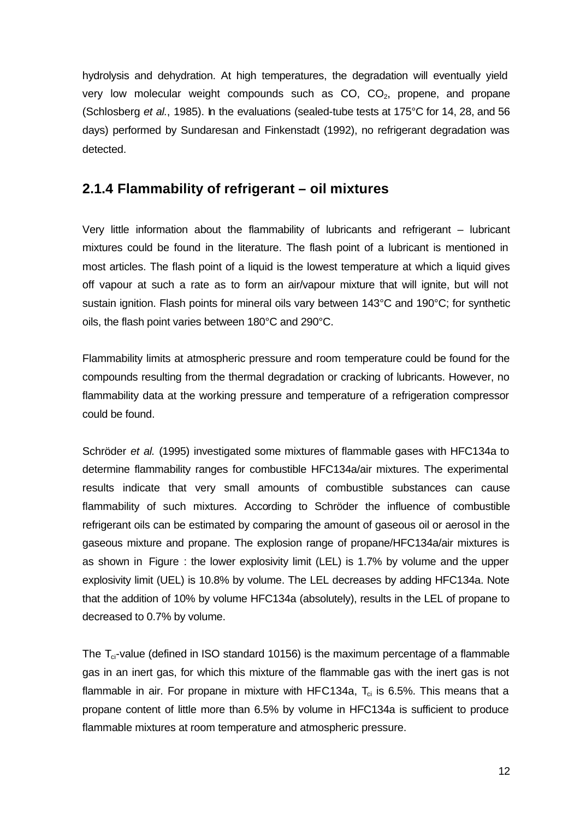hydrolysis and dehydration. At high temperatures, the degradation will eventually yield very low molecular weight compounds such as  $CO$ ,  $CO<sub>2</sub>$ , propene, and propane (Schlosberg *et al.*, 1985). In the evaluations (sealed-tube tests at 175°C for 14, 28, and 56 days) performed by Sundaresan and Finkenstadt (1992), no refrigerant degradation was detected.

### **2.1.4 Flammability of refrigerant – oil mixtures**

Very little information about the flammability of lubricants and refrigerant – lubricant mixtures could be found in the literature. The flash point of a lubricant is mentioned in most articles. The flash point of a liquid is the lowest temperature at which a liquid gives off vapour at such a rate as to form an air/vapour mixture that will ignite, but will not sustain ignition. Flash points for mineral oils vary between 143°C and 190°C; for synthetic oils, the flash point varies between 180°C and 290°C.

Flammability limits at atmospheric pressure and room temperature could be found for the compounds resulting from the thermal degradation or cracking of lubricants. However, no flammability data at the working pressure and temperature of a refrigeration compressor could be found.

Schröder *et al.* (1995) investigated some mixtures of flammable gases with HFC134a to determine flammability ranges for combustible HFC134a/air mixtures. The experimental results indicate that very small amounts of combustible substances can cause flammability of such mixtures. According to Schröder the influence of combustible refrigerant oils can be estimated by comparing the amount of gaseous oil or aerosol in the gaseous mixture and propane. The explosion range of propane/HFC134a/air mixtures is as shown in Figure : the lower explosivity limit (LEL) is 1.7% by volume and the upper explosivity limit (UEL) is 10.8% by volume. The LEL decreases by adding HFC134a. Note that the addition of 10% by volume HFC134a (absolutely), results in the LEL of propane to decreased to 0.7% by volume.

The  $T_{ci}$ -value (defined in ISO standard 10156) is the maximum percentage of a flammable gas in an inert gas, for which this mixture of the flammable gas with the inert gas is not flammable in air. For propane in mixture with HFC134a,  $T_{ci}$  is 6.5%. This means that a propane content of little more than 6.5% by volume in HFC134a is sufficient to produce flammable mixtures at room temperature and atmospheric pressure.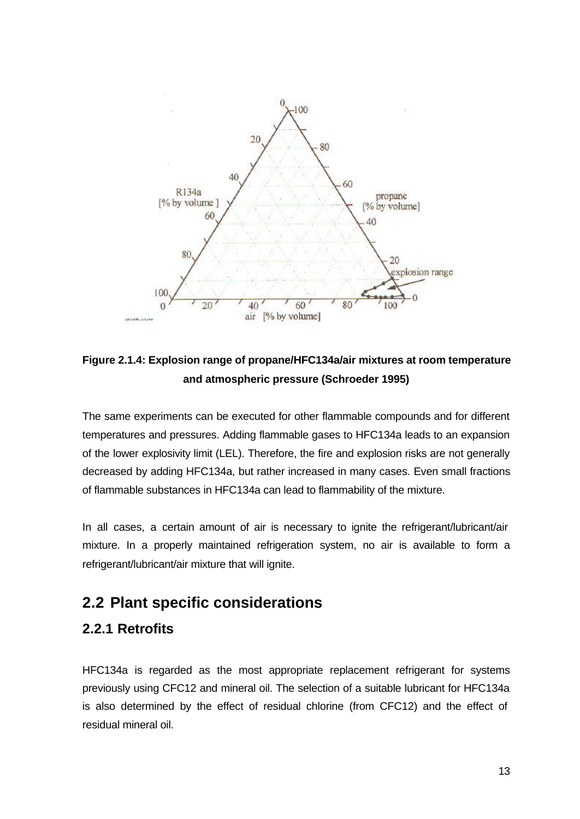

**Figure 2.1.4: Explosion range of propane/HFC134a/air mixtures at room temperature and atmospheric pressure (Schroeder 1995)**

The same experiments can be executed for other flammable compounds and for different temperatures and pressures. Adding flammable gases to HFC134a leads to an expansion of the lower explosivity limit (LEL). Therefore, the fire and explosion risks are not generally decreased by adding HFC134a, but rather increased in many cases. Even small fractions of flammable substances in HFC134a can lead to flammability of the mixture.

In all cases, a certain amount of air is necessary to ignite the refrigerant/lubricant/air mixture. In a properly maintained refrigeration system, no air is available to form a refrigerant/lubricant/air mixture that will ignite.

# **2.2 Plant specific considerations**

### **2.2.1 Retrofits**

HFC134a is regarded as the most appropriate replacement refrigerant for systems previously using CFC12 and mineral oil. The selection of a suitable lubricant for HFC134a is also determined by the effect of residual chlorine (from CFC12) and the effect of residual mineral oil.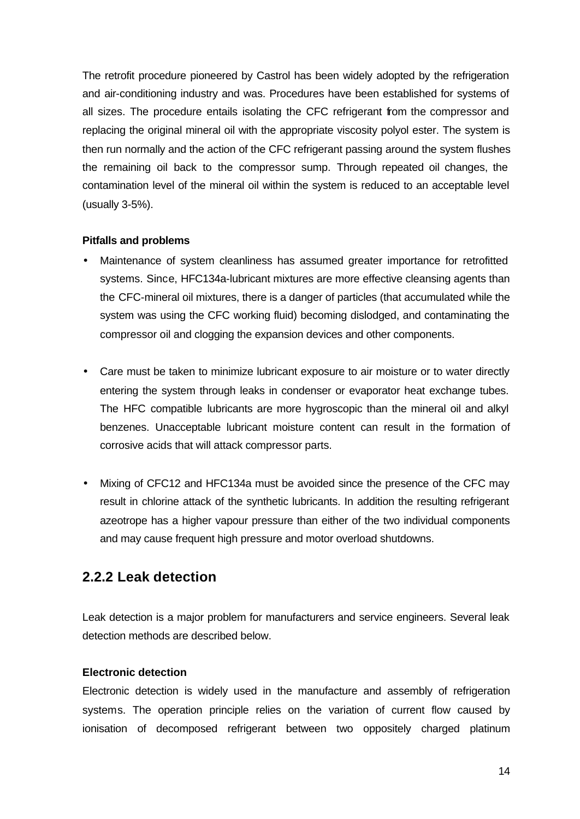The retrofit procedure pioneered by Castrol has been widely adopted by the refrigeration and air-conditioning industry and was. Procedures have been established for systems of all sizes. The procedure entails isolating the CFC refrigerant from the compressor and replacing the original mineral oil with the appropriate viscosity polyol ester. The system is then run normally and the action of the CFC refrigerant passing around the system flushes the remaining oil back to the compressor sump. Through repeated oil changes, the contamination level of the mineral oil within the system is reduced to an acceptable level (usually 3-5%).

#### **Pitfalls and problems**

- Maintenance of system cleanliness has assumed greater importance for retrofitted systems. Since, HFC134a-lubricant mixtures are more effective cleansing agents than the CFC-mineral oil mixtures, there is a danger of particles (that accumulated while the system was using the CFC working fluid) becoming dislodged, and contaminating the compressor oil and clogging the expansion devices and other components.
- Care must be taken to minimize lubricant exposure to air moisture or to water directly entering the system through leaks in condenser or evaporator heat exchange tubes. The HFC compatible lubricants are more hygroscopic than the mineral oil and alkyl benzenes. Unacceptable lubricant moisture content can result in the formation of corrosive acids that will attack compressor parts.
- Mixing of CFC12 and HFC134a must be avoided since the presence of the CFC may result in chlorine attack of the synthetic lubricants. In addition the resulting refrigerant azeotrope has a higher vapour pressure than either of the two individual components and may cause frequent high pressure and motor overload shutdowns.

### **2.2.2 Leak detection**

Leak detection is a major problem for manufacturers and service engineers. Several leak detection methods are described below.

#### **Electronic detection**

Electronic detection is widely used in the manufacture and assembly of refrigeration systems. The operation principle relies on the variation of current flow caused by ionisation of decomposed refrigerant between two oppositely charged platinum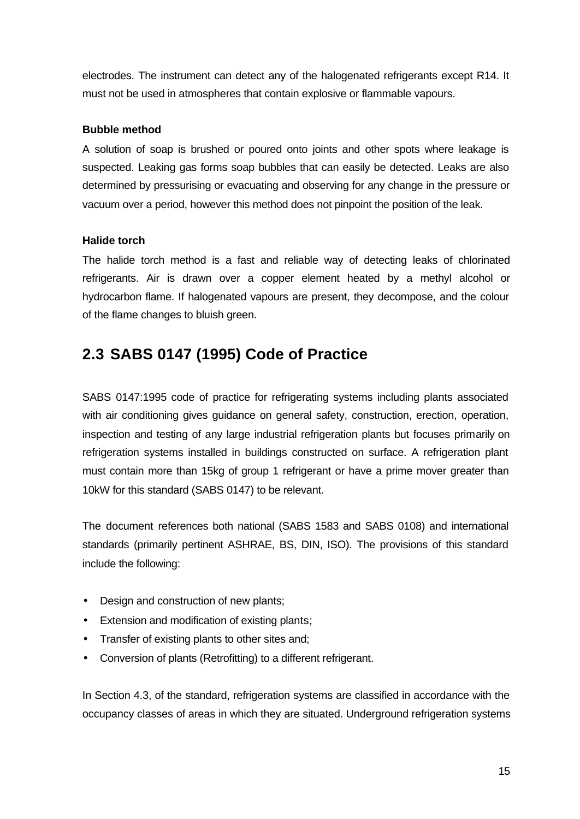electrodes. The instrument can detect any of the halogenated refrigerants except R14. It must not be used in atmospheres that contain explosive or flammable vapours.

#### **Bubble method**

A solution of soap is brushed or poured onto joints and other spots where leakage is suspected. Leaking gas forms soap bubbles that can easily be detected. Leaks are also determined by pressurising or evacuating and observing for any change in the pressure or vacuum over a period, however this method does not pinpoint the position of the leak.

#### **Halide torch**

The halide torch method is a fast and reliable way of detecting leaks of chlorinated refrigerants. Air is drawn over a copper element heated by a methyl alcohol or hydrocarbon flame. If halogenated vapours are present, they decompose, and the colour of the flame changes to bluish green.

# **2.3 SABS 0147 (1995) Code of Practice**

SABS 0147:1995 code of practice for refrigerating systems including plants associated with air conditioning gives guidance on general safety, construction, erection, operation, inspection and testing of any large industrial refrigeration plants but focuses primarily on refrigeration systems installed in buildings constructed on surface. A refrigeration plant must contain more than 15kg of group 1 refrigerant or have a prime mover greater than 10kW for this standard (SABS 0147) to be relevant.

The document references both national (SABS 1583 and SABS 0108) and international standards (primarily pertinent ASHRAE, BS, DIN, ISO). The provisions of this standard include the following:

- Design and construction of new plants;
- Extension and modification of existing plants;
- Transfer of existing plants to other sites and;
- Conversion of plants (Retrofitting) to a different refrigerant.

In Section 4.3, of the standard, refrigeration systems are classified in accordance with the occupancy classes of areas in which they are situated. Underground refrigeration systems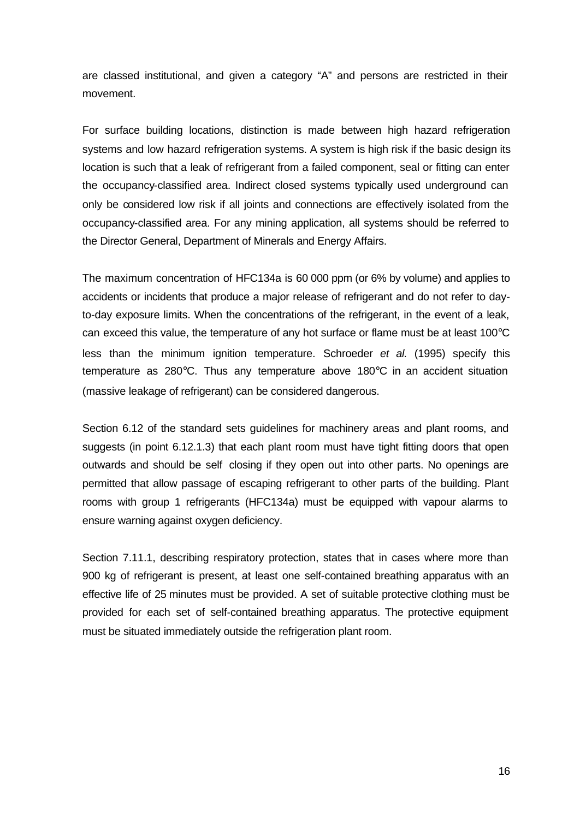are classed institutional, and given a category "A" and persons are restricted in their movement.

For surface building locations, distinction is made between high hazard refrigeration systems and low hazard refrigeration systems. A system is high risk if the basic design its location is such that a leak of refrigerant from a failed component, seal or fitting can enter the occupancy-classified area. Indirect closed systems typically used underground can only be considered low risk if all joints and connections are effectively isolated from the occupancy-classified area. For any mining application, all systems should be referred to the Director General, Department of Minerals and Energy Affairs.

The maximum concentration of HFC134a is 60 000 ppm (or 6% by volume) and applies to accidents or incidents that produce a major release of refrigerant and do not refer to dayto-day exposure limits. When the concentrations of the refrigerant, in the event of a leak, can exceed this value, the temperature of any hot surface or flame must be at least 100°C less than the minimum ignition temperature. Schroeder *et al.* (1995) specify this temperature as 280°C. Thus any temperature above 180°C in an accident situation (massive leakage of refrigerant) can be considered dangerous.

Section 6.12 of the standard sets guidelines for machinery areas and plant rooms, and suggests (in point 6.12.1.3) that each plant room must have tight fitting doors that open outwards and should be self closing if they open out into other parts. No openings are permitted that allow passage of escaping refrigerant to other parts of the building. Plant rooms with group 1 refrigerants (HFC134a) must be equipped with vapour alarms to ensure warning against oxygen deficiency.

Section 7.11.1, describing respiratory protection, states that in cases where more than 900 kg of refrigerant is present, at least one self-contained breathing apparatus with an effective life of 25 minutes must be provided. A set of suitable protective clothing must be provided for each set of self-contained breathing apparatus. The protective equipment must be situated immediately outside the refrigeration plant room.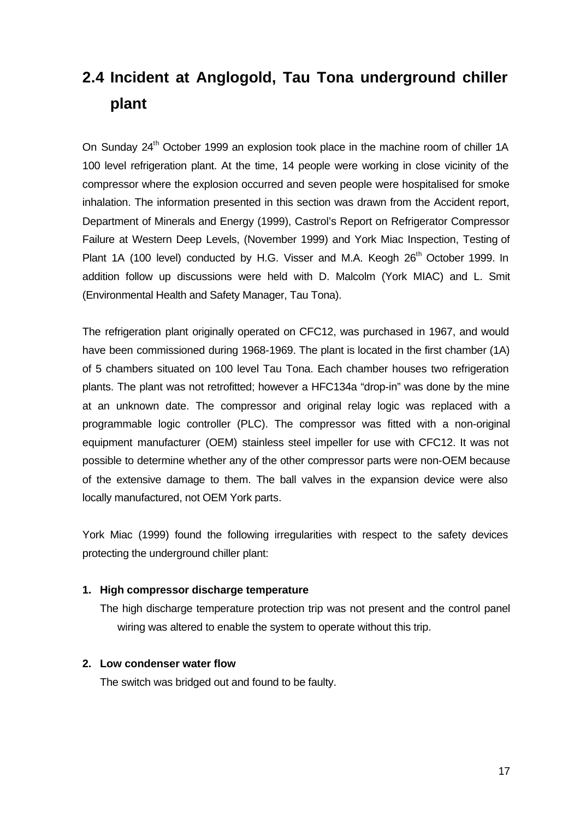# **2.4 Incident at Anglogold, Tau Tona underground chiller plant**

On Sunday 24<sup>th</sup> October 1999 an explosion took place in the machine room of chiller 1A 100 level refrigeration plant. At the time, 14 people were working in close vicinity of the compressor where the explosion occurred and seven people were hospitalised for smoke inhalation. The information presented in this section was drawn from the Accident report, Department of Minerals and Energy (1999), Castrol's Report on Refrigerator Compressor Failure at Western Deep Levels, (November 1999) and York Miac Inspection, Testing of Plant 1A (100 level) conducted by H.G. Visser and M.A. Keogh 26<sup>th</sup> October 1999. In addition follow up discussions were held with D. Malcolm (York MIAC) and L. Smit (Environmental Health and Safety Manager, Tau Tona).

The refrigeration plant originally operated on CFC12, was purchased in 1967, and would have been commissioned during 1968-1969. The plant is located in the first chamber (1A) of 5 chambers situated on 100 level Tau Tona. Each chamber houses two refrigeration plants. The plant was not retrofitted; however a HFC134a "drop-in" was done by the mine at an unknown date. The compressor and original relay logic was replaced with a programmable logic controller (PLC). The compressor was fitted with a non-original equipment manufacturer (OEM) stainless steel impeller for use with CFC12. It was not possible to determine whether any of the other compressor parts were non-OEM because of the extensive damage to them. The ball valves in the expansion device were also locally manufactured, not OEM York parts.

York Miac (1999) found the following irregularities with respect to the safety devices protecting the underground chiller plant:

#### **1. High compressor discharge temperature**

The high discharge temperature protection trip was not present and the control panel wiring was altered to enable the system to operate without this trip.

#### **2. Low condenser water flow**

The switch was bridged out and found to be faulty.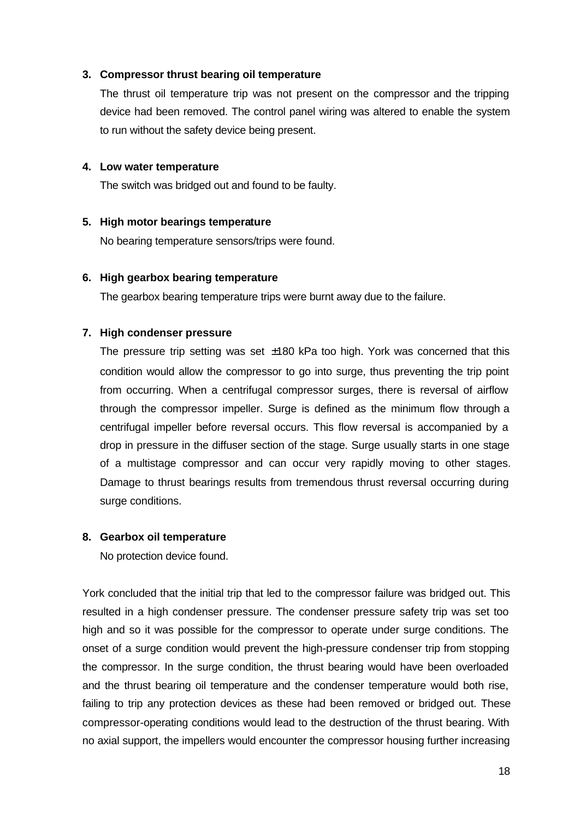#### **3. Compressor thrust bearing oil temperature**

The thrust oil temperature trip was not present on the compressor and the tripping device had been removed. The control panel wiring was altered to enable the system to run without the safety device being present.

#### **4. Low water temperature**

The switch was bridged out and found to be faulty.

#### **5. High motor bearings temperature**

No bearing temperature sensors/trips were found.

#### **6. High gearbox bearing temperature**

The gearbox bearing temperature trips were burnt away due to the failure.

#### **7. High condenser pressure**

The pressure trip setting was set  $\pm 180$  kPa too high. York was concerned that this condition would allow the compressor to go into surge, thus preventing the trip point from occurring. When a centrifugal compressor surges, there is reversal of airflow through the compressor impeller. Surge is defined as the minimum flow through a centrifugal impeller before reversal occurs. This flow reversal is accompanied by a drop in pressure in the diffuser section of the stage. Surge usually starts in one stage of a multistage compressor and can occur very rapidly moving to other stages. Damage to thrust bearings results from tremendous thrust reversal occurring during surge conditions.

#### **8. Gearbox oil temperature**

No protection device found.

York concluded that the initial trip that led to the compressor failure was bridged out. This resulted in a high condenser pressure. The condenser pressure safety trip was set too high and so it was possible for the compressor to operate under surge conditions. The onset of a surge condition would prevent the high-pressure condenser trip from stopping the compressor. In the surge condition, the thrust bearing would have been overloaded and the thrust bearing oil temperature and the condenser temperature would both rise, failing to trip any protection devices as these had been removed or bridged out. These compressor-operating conditions would lead to the destruction of the thrust bearing. With no axial support, the impellers would encounter the compressor housing further increasing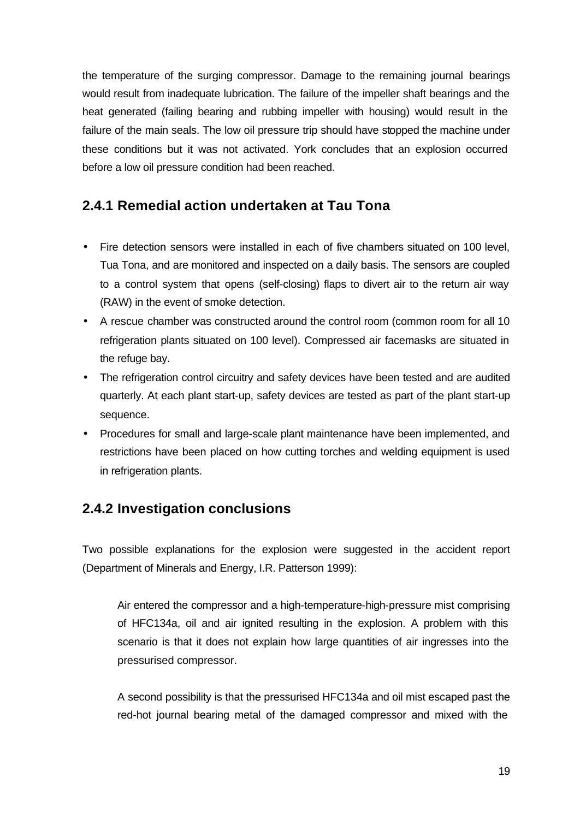the temperature of the surging compressor. Damage to the remaining journal bearings would result from inadequate lubrication. The failure of the impeller shaft bearings and the heat generated (failing bearing and rubbing impeller with housing) would result in the failure of the main seals. The low oil pressure trip should have stopped the machine under these conditions but it was not activated. York concludes that an explosion occurred before a low oil pressure condition had been reached.

### **2.4.1 Remedial action undertaken at Tau Tona**

- Fire detection sensors were installed in each of five chambers situated on 100 level, Tua Tona, and are monitored and inspected on a daily basis. The sensors are coupled to a control system that opens (self-closing) flaps to divert air to the return air way (RAW) in the event of smoke detection.
- A rescue chamber was constructed around the control room (common room for all 10 refrigeration plants situated on 100 level). Compressed air facemasks are situated in the refuge bay.
- The refrigeration control circuitry and safety devices have been tested and are audited quarterly. At each plant start-up, safety devices are tested as part of the plant start-up sequence.
- Procedures for small and large-scale plant maintenance have been implemented, and restrictions have been placed on how cutting torches and welding equipment is used in refrigeration plants.

# **2.4.2 Investigation conclusions**

Two possible explanations for the explosion were suggested in the accident report (Department of Minerals and Energy, I.R. Patterson 1999):

Air entered the compressor and a high-temperature-high-pressure mist comprising of HFC134a, oil and air ignited resulting in the explosion. A problem with this scenario is that it does not explain how large quantities of air ingresses into the pressurised compressor.

A second possibility is that the pressurised HFC134a and oil mist escaped past the red-hot journal bearing metal of the damaged compressor and mixed with the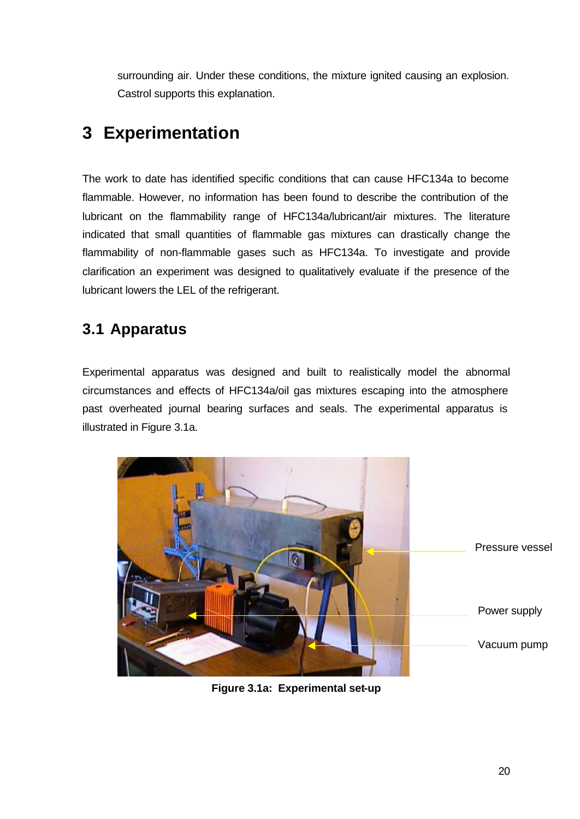surrounding air. Under these conditions, the mixture ignited causing an explosion. Castrol supports this explanation.

# **3 Experimentation**

The work to date has identified specific conditions that can cause HFC134a to become flammable. However, no information has been found to describe the contribution of the lubricant on the flammability range of HFC134a/lubricant/air mixtures. The literature indicated that small quantities of flammable gas mixtures can drastically change the flammability of non-flammable gases such as HFC134a. To investigate and provide clarification an experiment was designed to qualitatively evaluate if the presence of the lubricant lowers the LEL of the refrigerant.

# **3.1 Apparatus**

Experimental apparatus was designed and built to realistically model the abnormal circumstances and effects of HFC134a/oil gas mixtures escaping into the atmosphere past overheated journal bearing surfaces and seals. The experimental apparatus is illustrated in Figure 3.1a.



**Figure 3.1a: Experimental set-up**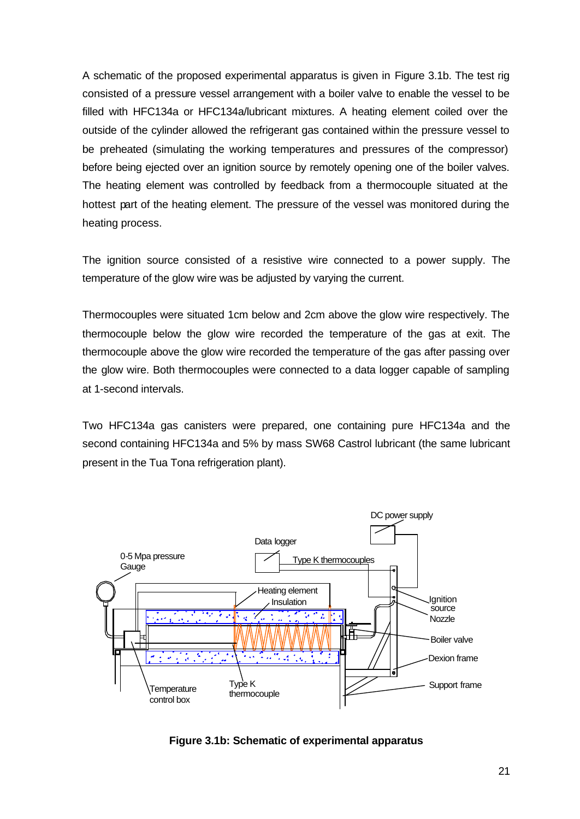A schematic of the proposed experimental apparatus is given in Figure 3.1b. The test rig consisted of a pressure vessel arrangement with a boiler valve to enable the vessel to be filled with HFC134a or HFC134a/lubricant mixtures. A heating element coiled over the outside of the cylinder allowed the refrigerant gas contained within the pressure vessel to be preheated (simulating the working temperatures and pressures of the compressor) before being ejected over an ignition source by remotely opening one of the boiler valves. The heating element was controlled by feedback from a thermocouple situated at the hottest part of the heating element. The pressure of the vessel was monitored during the heating process.

The ignition source consisted of a resistive wire connected to a power supply. The temperature of the glow wire was be adjusted by varying the current.

Thermocouples were situated 1cm below and 2cm above the glow wire respectively. The thermocouple below the glow wire recorded the temperature of the gas at exit. The thermocouple above the glow wire recorded the temperature of the gas after passing over the glow wire. Both thermocouples were connected to a data logger capable of sampling at 1-second intervals.

Two HFC134a gas canisters were prepared, one containing pure HFC134a and the second containing HFC134a and 5% by mass SW68 Castrol lubricant (the same lubricant present in the Tua Tona refrigeration plant).



**Figure 3.1b: Schematic of experimental apparatus**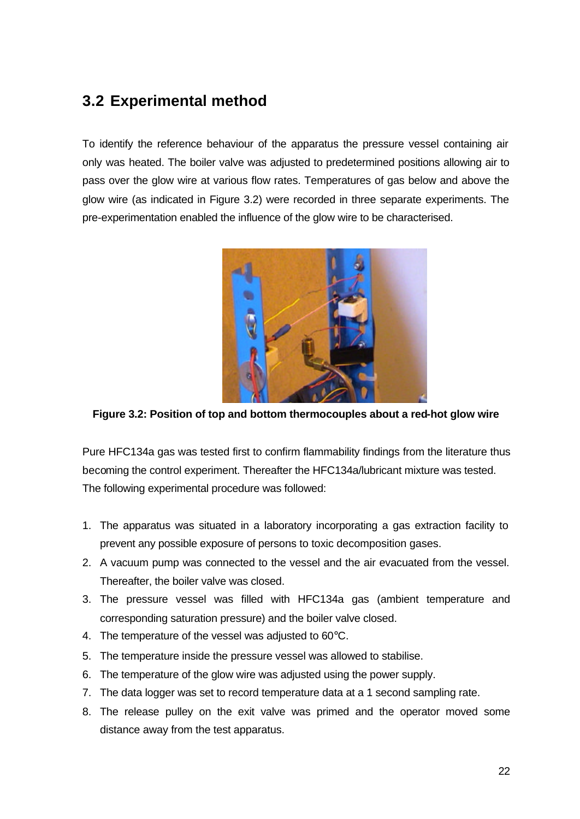# **3.2 Experimental method**

To identify the reference behaviour of the apparatus the pressure vessel containing air only was heated. The boiler valve was adjusted to predetermined positions allowing air to pass over the glow wire at various flow rates. Temperatures of gas below and above the glow wire (as indicated in Figure 3.2) were recorded in three separate experiments. The pre-experimentation enabled the influence of the glow wire to be characterised.



**Figure 3.2: Position of top and bottom thermocouples about a red-hot glow wire**

Pure HFC134a gas was tested first to confirm flammability findings from the literature thus becoming the control experiment. Thereafter the HFC134a/lubricant mixture was tested. The following experimental procedure was followed:

- 1. The apparatus was situated in a laboratory incorporating a gas extraction facility to prevent any possible exposure of persons to toxic decomposition gases.
- 2. A vacuum pump was connected to the vessel and the air evacuated from the vessel. Thereafter, the boiler valve was closed.
- 3. The pressure vessel was filled with HFC134a gas (ambient temperature and corresponding saturation pressure) and the boiler valve closed.
- 4. The temperature of the vessel was adjusted to 60°C.
- 5. The temperature inside the pressure vessel was allowed to stabilise.
- 6. The temperature of the glow wire was adjusted using the power supply.
- 7. The data logger was set to record temperature data at a 1 second sampling rate.
- 8. The release pulley on the exit valve was primed and the operator moved some distance away from the test apparatus.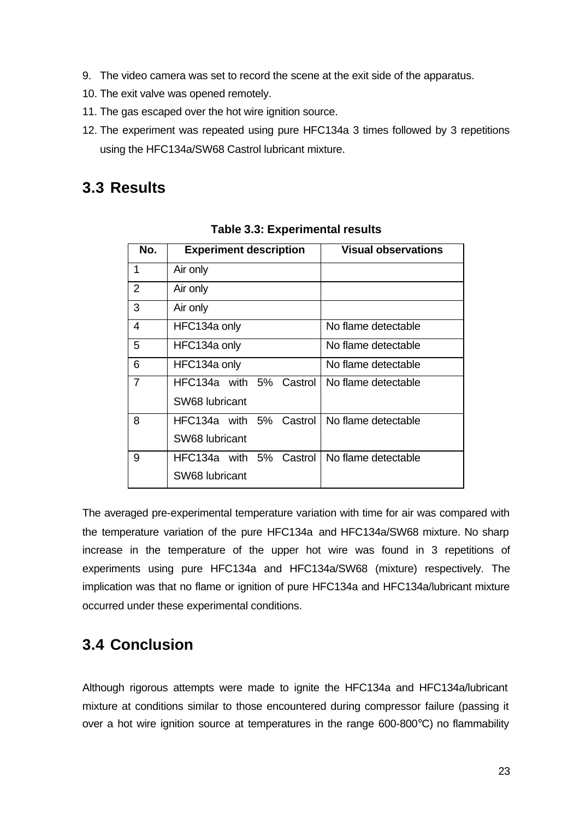- 9. The video camera was set to record the scene at the exit side of the apparatus.
- 10. The exit valve was opened remotely.
- 11. The gas escaped over the hot wire ignition source.
- 12. The experiment was repeated using pure HFC134a 3 times followed by 3 repetitions using the HFC134a/SW68 Castrol lubricant mixture.

# **3.3 Results**

| No. | <b>Experiment description</b> | <b>Visual observations</b> |
|-----|-------------------------------|----------------------------|
| 1   | Air only                      |                            |
| 2   | Air only                      |                            |
| 3   | Air only                      |                            |
| 4   | HFC134a only                  | No flame detectable        |
| 5   | HFC134a only                  | No flame detectable        |
| 6   | HFC134a only                  | No flame detectable        |
| 7   | HFC134a with 5% Castrol       | No flame detectable        |
|     | SW68 lubricant                |                            |
| 8   | HFC134a with 5% Castrol       | No flame detectable        |
|     | SW68 lubricant                |                            |
| 9   | HFC134a with 5%<br>Castrol    | No flame detectable        |
|     | SW68 lubricant                |                            |

**Table 3.3: Experimental results**

The averaged pre-experimental temperature variation with time for air was compared with the temperature variation of the pure HFC134a and HFC134a/SW68 mixture. No sharp increase in the temperature of the upper hot wire was found in 3 repetitions of experiments using pure HFC134a and HFC134a/SW68 (mixture) respectively. The implication was that no flame or ignition of pure HFC134a and HFC134a/lubricant mixture occurred under these experimental conditions.

# **3.4 Conclusion**

Although rigorous attempts were made to ignite the HFC134a and HFC134a/lubricant mixture at conditions similar to those encountered during compressor failure (passing it over a hot wire ignition source at temperatures in the range 600-800°C) no flammability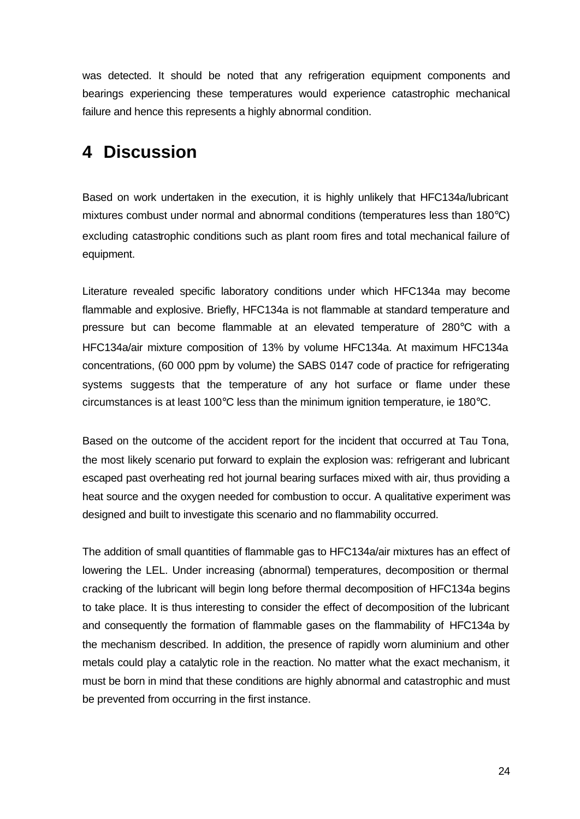was detected. It should be noted that any refrigeration equipment components and bearings experiencing these temperatures would experience catastrophic mechanical failure and hence this represents a highly abnormal condition.

# **4 Discussion**

Based on work undertaken in the execution, it is highly unlikely that HFC134a/lubricant mixtures combust under normal and abnormal conditions (temperatures less than 180°C) excluding catastrophic conditions such as plant room fires and total mechanical failure of equipment.

Literature revealed specific laboratory conditions under which HFC134a may become flammable and explosive. Briefly, HFC134a is not flammable at standard temperature and pressure but can become flammable at an elevated temperature of 280°C with a HFC134a/air mixture composition of 13% by volume HFC134a. At maximum HFC134a concentrations, (60 000 ppm by volume) the SABS 0147 code of practice for refrigerating systems suggests that the temperature of any hot surface or flame under these circumstances is at least 100°C less than the minimum ignition temperature, ie 180°C.

Based on the outcome of the accident report for the incident that occurred at Tau Tona, the most likely scenario put forward to explain the explosion was: refrigerant and lubricant escaped past overheating red hot journal bearing surfaces mixed with air, thus providing a heat source and the oxygen needed for combustion to occur. A qualitative experiment was designed and built to investigate this scenario and no flammability occurred.

The addition of small quantities of flammable gas to HFC134a/air mixtures has an effect of lowering the LEL. Under increasing (abnormal) temperatures, decomposition or thermal cracking of the lubricant will begin long before thermal decomposition of HFC134a begins to take place. It is thus interesting to consider the effect of decomposition of the lubricant and consequently the formation of flammable gases on the flammability of HFC134a by the mechanism described. In addition, the presence of rapidly worn aluminium and other metals could play a catalytic role in the reaction. No matter what the exact mechanism, it must be born in mind that these conditions are highly abnormal and catastrophic and must be prevented from occurring in the first instance.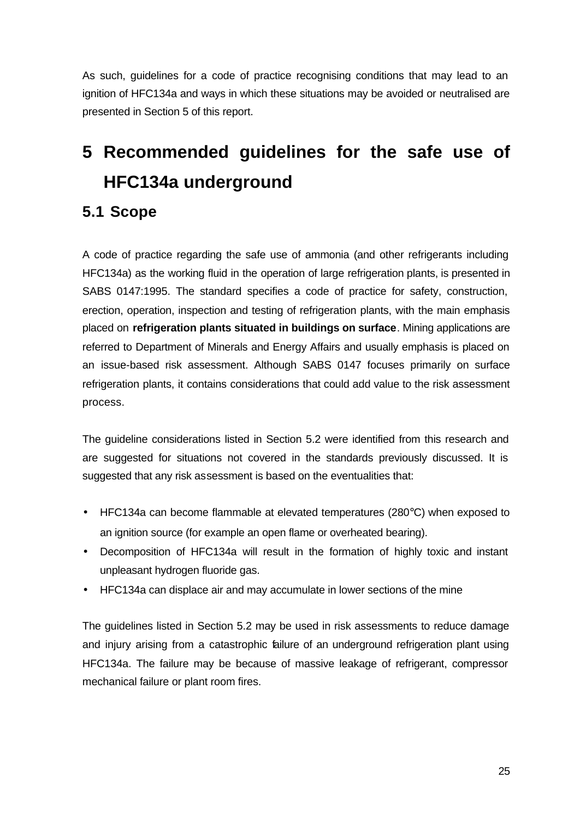As such, guidelines for a code of practice recognising conditions that may lead to an ignition of HFC134a and ways in which these situations may be avoided or neutralised are presented in Section 5 of this report.

# **5 Recommended guidelines for the safe use of HFC134a underground**

# **5.1 Scope**

A code of practice regarding the safe use of ammonia (and other refrigerants including HFC134a) as the working fluid in the operation of large refrigeration plants, is presented in SABS 0147:1995. The standard specifies a code of practice for safety, construction, erection, operation, inspection and testing of refrigeration plants, with the main emphasis placed on **refrigeration plants situated in buildings on surface**. Mining applications are referred to Department of Minerals and Energy Affairs and usually emphasis is placed on an issue-based risk assessment. Although SABS 0147 focuses primarily on surface refrigeration plants, it contains considerations that could add value to the risk assessment process.

The guideline considerations listed in Section 5.2 were identified from this research and are suggested for situations not covered in the standards previously discussed. It is suggested that any risk assessment is based on the eventualities that:

- HFC134a can become flammable at elevated temperatures (280°C) when exposed to an ignition source (for example an open flame or overheated bearing).
- Decomposition of HFC134a will result in the formation of highly toxic and instant unpleasant hydrogen fluoride gas.
- HFC134a can displace air and may accumulate in lower sections of the mine

The guidelines listed in Section 5.2 may be used in risk assessments to reduce damage and injury arising from a catastrophic failure of an underground refrigeration plant using HFC134a. The failure may be because of massive leakage of refrigerant, compressor mechanical failure or plant room fires.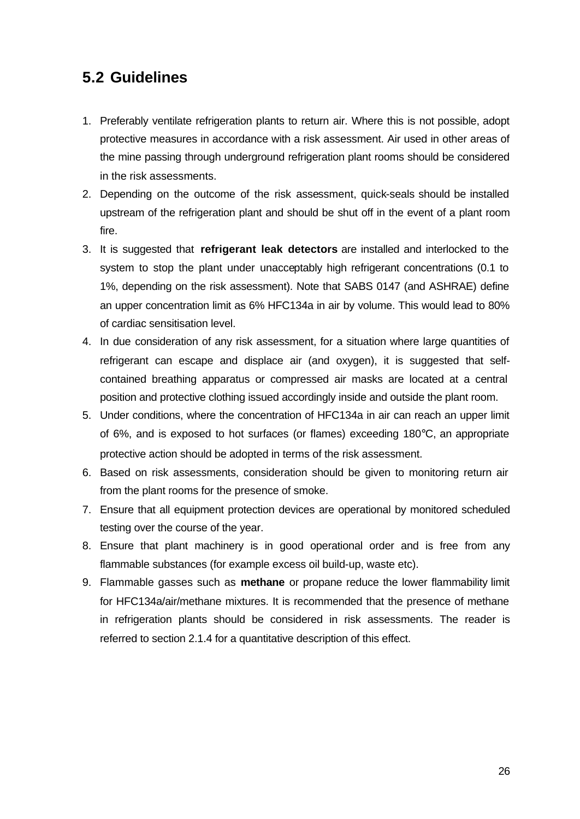# **5.2 Guidelines**

- 1. Preferably ventilate refrigeration plants to return air. Where this is not possible, adopt protective measures in accordance with a risk assessment. Air used in other areas of the mine passing through underground refrigeration plant rooms should be considered in the risk assessments.
- 2. Depending on the outcome of the risk assessment, quick-seals should be installed upstream of the refrigeration plant and should be shut off in the event of a plant room fire.
- 3. It is suggested that **refrigerant leak detectors** are installed and interlocked to the system to stop the plant under unacceptably high refrigerant concentrations (0.1 to 1%, depending on the risk assessment). Note that SABS 0147 (and ASHRAE) define an upper concentration limit as 6% HFC134a in air by volume. This would lead to 80% of cardiac sensitisation level.
- 4. In due consideration of any risk assessment, for a situation where large quantities of refrigerant can escape and displace air (and oxygen), it is suggested that selfcontained breathing apparatus or compressed air masks are located at a central position and protective clothing issued accordingly inside and outside the plant room.
- 5. Under conditions, where the concentration of HFC134a in air can reach an upper limit of 6%, and is exposed to hot surfaces (or flames) exceeding 180°C, an appropriate protective action should be adopted in terms of the risk assessment.
- 6. Based on risk assessments, consideration should be given to monitoring return air from the plant rooms for the presence of smoke.
- 7. Ensure that all equipment protection devices are operational by monitored scheduled testing over the course of the year.
- 8. Ensure that plant machinery is in good operational order and is free from any flammable substances (for example excess oil build-up, waste etc).
- 9. Flammable gasses such as **methane** or propane reduce the lower flammability limit for HFC134a/air/methane mixtures. It is recommended that the presence of methane in refrigeration plants should be considered in risk assessments. The reader is referred to section 2.1.4 for a quantitative description of this effect.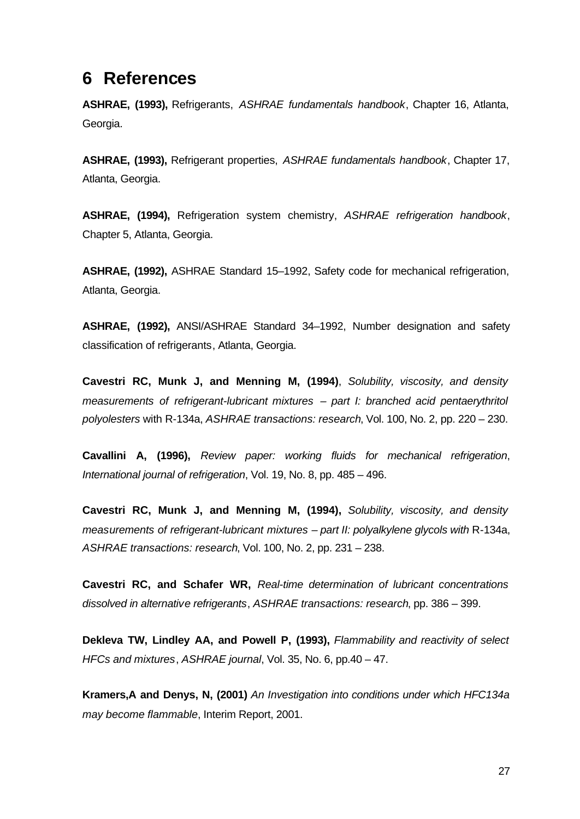# **6 References**

**ASHRAE, (1993),** Refrigerants, *ASHRAE fundamentals handbook*, Chapter 16, Atlanta, Georgia.

**ASHRAE, (1993),** Refrigerant properties, *ASHRAE fundamentals handbook*, Chapter 17, Atlanta, Georgia.

**ASHRAE, (1994),** Refrigeration system chemistry, *ASHRAE refrigeration handbook*, Chapter 5, Atlanta, Georgia.

**ASHRAE, (1992),** ASHRAE Standard 15–1992, Safety code for mechanical refrigeration, Atlanta, Georgia.

**ASHRAE, (1992),** ANSI/ASHRAE Standard 34–1992, Number designation and safety classification of refrigerants, Atlanta, Georgia.

**Cavestri RC, Munk J, and Menning M, (1994)**, *Solubility, viscosity, and density measurements of refrigerant-lubricant mixtures – part I: branched acid pentaerythritol polyolesters* with R-134a, *ASHRAE transactions: research*, Vol. 100, No. 2, pp. 220 – 230.

**Cavallini A, (1996),** *Review paper: working fluids for mechanical refrigeration*, *International journal of refrigeration*, Vol. 19, No. 8, pp. 485 – 496.

**Cavestri RC, Munk J, and Menning M, (1994),** *Solubility, viscosity, and density measurements of refrigerant-lubricant mixtures – part II: polyalkylene glycols with* R-134a, *ASHRAE transactions: research*, Vol. 100, No. 2, pp. 231 – 238.

**Cavestri RC, and Schafer WR,** *Real-time determination of lubricant concentrations dissolved in alternative refrigerants*, *ASHRAE transactions: research*, pp. 386 – 399.

**Dekleva TW, Lindley AA, and Powell P, (1993),** *Flammability and reactivity of select HFCs and mixtures*, *ASHRAE journal*, Vol. 35, No. 6, pp.40 – 47.

**Kramers,A and Denys, N, (2001)** *An Investigation into conditions under which HFC134a may become flammable*, Interim Report, 2001.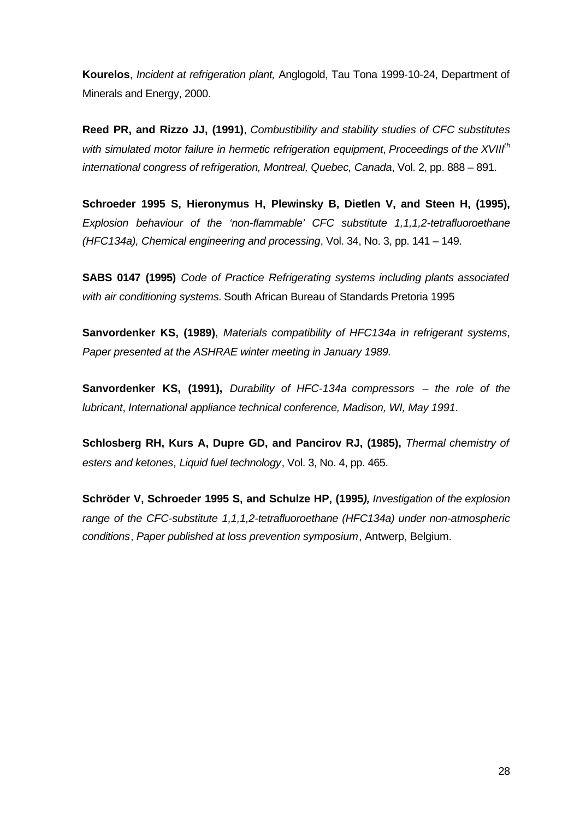**Kourelos**, *Incident at refrigeration plant,* Anglogold, Tau Tona 1999-10-24, Department of Minerals and Energy, 2000.

**Reed PR, and Rizzo JJ, (1991)**, *Combustibility and stability studies of CFC substitutes with simulated motor failure in hermetic refrigeration equipment*, *Proceedings of the XVIIIth international congress of refrigeration, Montreal, Quebec, Canada*, Vol. 2, pp. 888 – 891.

**Schroeder 1995 S, Hieronymus H, Plewinsky B, Dietlen V, and Steen H, (1995),** *Explosion behaviour of the 'non-flammable' CFC substitute 1,1,1,2-tetrafluoroethane (HFC134a), Chemical engineering and processing*, Vol. 34, No. 3, pp. 141 – 149.

**SABS 0147 (1995)** *Code of Practice Refrigerating systems including plants associated with air conditioning systems.* South African Bureau of Standards Pretoria 1995

**Sanvordenker KS, (1989)**, *Materials compatibility of HFC134a in refrigerant systems*, *Paper presented at the ASHRAE winter meeting in January 1989.*

**Sanvordenker KS, (1991),** *Durability of HFC-134a compressors – the role of the lubricant*, *International appliance technical conference, Madison, WI, May 1991*.

**Schlosberg RH, Kurs A, Dupre GD, and Pancirov RJ, (1985),** *Thermal chemistry of esters and ketones, Liquid fuel technology*, Vol. 3, No. 4, pp. 465.

**Schröder V, Schroeder 1995 S, and Schulze HP, (1995***), Investigation of the explosion range of the CFC-substitute 1,1,1,2-tetrafluoroethane (HFC134a) under non-atmospheric conditions*, *Paper published at loss prevention symposium*, Antwerp, Belgium.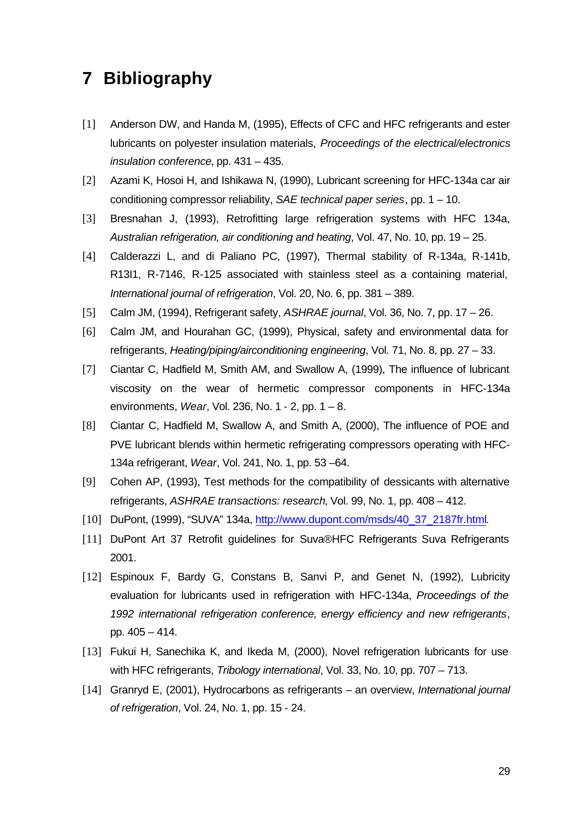# **7 Bibliography**

- [1] Anderson DW, and Handa M, (1995), Effects of CFC and HFC refrigerants and ester lubricants on polyester insulation materials, *Proceedings of the electrical/electronics insulation conference*, pp. 431 – 435.
- [2] Azami K, Hosoi H, and Ishikawa N, (1990), Lubricant screening for HFC-134a car air conditioning compressor reliability, *SAE technical paper series*, pp. 1 – 10.
- [3] Bresnahan J, (1993), Retrofitting large refrigeration systems with HFC 134a, *Australian refrigeration, air conditioning and heating*, Vol. 47, No. 10, pp. 19 – 25.
- [4] Calderazzi L, and di Paliano PC, (1997), Thermal stability of R-134a, R-141b, R13I1, R-7146, R-125 associated with stainless steel as a containing material, *International journal of refrigeration*, Vol. 20, No. 6, pp. 381 – 389.
- [5] Calm JM, (1994), Refrigerant safety, *ASHRAE journal*, Vol. 36, No. 7, pp. 17 26.
- [6] Calm JM, and Hourahan GC, (1999), Physical, safety and environmental data for refrigerants, *Heating/piping/airconditioning engineering*, Vol. 71, No. 8, pp. 27 – 33.
- [7] Ciantar C, Hadfield M, Smith AM, and Swallow A, (1999), The influence of lubricant viscosity on the wear of hermetic compressor components in HFC-134a environments, *Wear*, Vol. 236, No. 1 - 2, pp. 1 – 8.
- [8] Ciantar C, Hadfield M, Swallow A, and Smith A, (2000), The influence of POE and PVE lubricant blends within hermetic refrigerating compressors operating with HFC-134a refrigerant, *Wear*, Vol. 241, No. 1, pp. 53 –64.
- [9] Cohen AP, (1993), Test methods for the compatibility of dessicants with alternative refrigerants, *ASHRAE transactions: research*, Vol. 99, No. 1, pp. 408 – 412.
- [10] DuPont, (1999), "SUVA" 134a, http://www.dupont.com/msds/40\_37\_2187fr.html.
- [11] DuPont Art 37 Retrofit quidelines for Suva®HFC Refrigerants Suva Refrigerants 2001.
- [12] Espinoux F, Bardy G, Constans B, Sanvi P, and Genet N, (1992), Lubricity evaluation for lubricants used in refrigeration with HFC-134a, *Proceedings of the 1992 international refrigeration conference, energy efficiency and new refrigerants*, pp. 405 – 414.
- [13] Fukui H, Sanechika K, and Ikeda M, (2000), Novel refrigeration lubricants for use with HFC refrigerants, *Tribology international*, Vol. 33, No. 10, pp. 707 – 713.
- [14] Granryd E, (2001), Hydrocarbons as refrigerants an overview, *International journal of refrigeration*, Vol. 24, No. 1, pp. 15 - 24.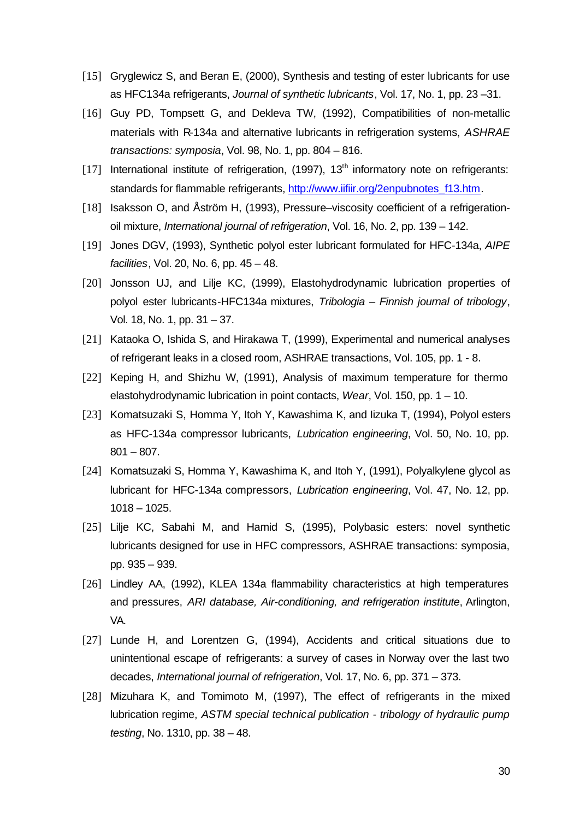- [15] Gryglewicz S, and Beran E, (2000), Synthesis and testing of ester lubricants for use as HFC134a refrigerants, *Journal of synthetic lubricants*, Vol. 17, No. 1, pp. 23 –31.
- [16] Guy PD, Tompsett G, and Dekleva TW, (1992), Compatibilities of non-metallic materials with R-134a and alternative lubricants in refrigeration systems, *ASHRAE transactions: symposia*, Vol. 98, No. 1, pp. 804 – 816.
- [17] International institute of refrigeration,  $(1997)$ ,  $13<sup>th</sup>$  informatory note on refrigerants: standards for flammable refrigerants, http://www.iifiir.org/2enpubnotes\_f13.htm.
- [18] Isaksson O, and Åström H, (1993), Pressure–viscosity coefficient of a refrigerationoil mixture, *International journal of refrigeration*, Vol. 16, No. 2, pp. 139 – 142.
- [19] Jones DGV, (1993), Synthetic polyol ester lubricant formulated for HFC-134a, *AIPE facilities*, Vol. 20, No. 6, pp. 45 – 48.
- [20] Jonsson UJ, and Lilje KC, (1999), Elastohydrodynamic lubrication properties of polyol ester lubricants-HFC134a mixtures, *Tribologia – Finnish journal of tribology*, Vol. 18, No. 1, pp. 31 – 37.
- [21] Kataoka O, Ishida S, and Hirakawa T, (1999), Experimental and numerical analyses of refrigerant leaks in a closed room, ASHRAE transactions, Vol. 105, pp. 1 - 8.
- [22] Keping H, and Shizhu W, (1991), Analysis of maximum temperature for thermo elastohydrodynamic lubrication in point contacts, *Wear*, Vol. 150, pp. 1 – 10.
- [23] Komatsuzaki S, Homma Y, Itoh Y, Kawashima K, and Iizuka T, (1994), Polyol esters as HFC-134a compressor lubricants, *Lubrication engineering*, Vol. 50, No. 10, pp.  $801 - 807$ .
- [24] Komatsuzaki S, Homma Y, Kawashima K, and Itoh Y, (1991), Polyalkylene glycol as lubricant for HFC-134a compressors, *Lubrication engineering*, Vol. 47, No. 12, pp. 1018 – 1025.
- [25] Lilje KC, Sabahi M, and Hamid S, (1995), Polybasic esters: novel synthetic lubricants designed for use in HFC compressors, ASHRAE transactions: symposia, pp. 935 – 939.
- [26] Lindley AA, (1992), KLEA 134a flammability characteristics at high temperatures and pressures, *ARI database, Air-conditioning, and refrigeration institute*, Arlington, VA.
- [27] Lunde H, and Lorentzen G, (1994), Accidents and critical situations due to unintentional escape of refrigerants: a survey of cases in Norway over the last two decades, *International journal of refrigeration*, Vol. 17, No. 6, pp. 371 – 373.
- [28] Mizuhara K, and Tomimoto M, (1997), The effect of refrigerants in the mixed lubrication regime, *ASTM special technical publication - tribology of hydraulic pump testing*, No. 1310, pp. 38 – 48.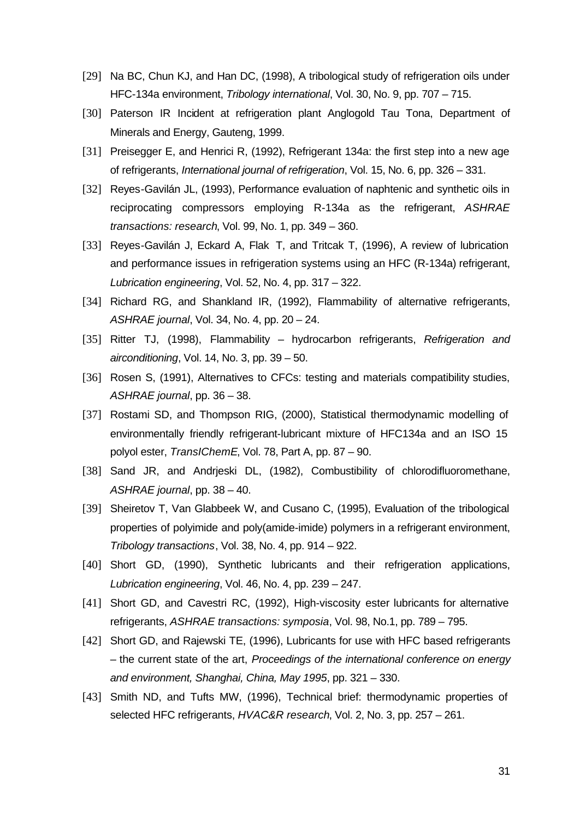- [29] Na BC, Chun KJ, and Han DC, (1998), A tribological study of refrigeration oils under HFC-134a environment, *Tribology international*, Vol. 30, No. 9, pp. 707 – 715.
- [30] Paterson IR Incident at refrigeration plant Anglogold Tau Tona, Department of Minerals and Energy, Gauteng, 1999.
- [31] Preisegger E, and Henrici R, (1992), Refrigerant 134a: the first step into a new age of refrigerants, *International journal of refrigeration*, Vol. 15, No. 6, pp. 326 – 331.
- [32] Reyes-Gavilán JL, (1993), Performance evaluation of naphtenic and synthetic oils in reciprocating compressors employing R-134a as the refrigerant, *ASHRAE transactions: research*, Vol. 99, No. 1, pp. 349 – 360.
- [33] Reyes-Gavilán J, Eckard A, Flak T, and Tritcak T, (1996), A review of lubrication and performance issues in refrigeration systems using an HFC (R-134a) refrigerant, *Lubrication engineering*, Vol. 52, No. 4, pp. 317 – 322.
- [34] Richard RG, and Shankland IR, (1992), Flammability of alternative refrigerants, *ASHRAE journal*, Vol. 34, No. 4, pp. 20 – 24.
- [35] Ritter TJ, (1998), Flammability hydrocarbon refrigerants, *Refrigeration and airconditioning*, Vol. 14, No. 3, pp. 39 – 50.
- [36] Rosen S, (1991), Alternatives to CFCs: testing and materials compatibility studies, *ASHRAE journal*, pp. 36 – 38.
- [37] Rostami SD, and Thompson RIG, (2000), Statistical thermodynamic modelling of environmentally friendly refrigerant-lubricant mixture of HFC134a and an ISO 15 polyol ester, *TransIChemE*, Vol. 78, Part A, pp. 87 – 90.
- [38] Sand JR, and Andrieski DL, (1982), Combustibility of chlorodifluoromethane, *ASHRAE journal*, pp. 38 – 40.
- [39] Sheiretov T, Van Glabbeek W, and Cusano C, (1995), Evaluation of the tribological properties of polyimide and poly(amide-imide) polymers in a refrigerant environment, *Tribology transactions*, Vol. 38, No. 4, pp. 914 – 922.
- [40] Short GD, (1990), Synthetic lubricants and their refrigeration applications, *Lubrication engineering*, Vol. 46, No. 4, pp. 239 – 247.
- [41] Short GD, and Cavestri RC, (1992), High-viscosity ester lubricants for alternative refrigerants, *ASHRAE transactions: symposia*, Vol. 98, No.1, pp. 789 – 795.
- [42] Short GD, and Rajewski TE, (1996), Lubricants for use with HFC based refrigerants – the current state of the art, *Proceedings of the international conference on energy and environment, Shanghai, China, May 1995*, pp. 321 – 330.
- [43] Smith ND, and Tufts MW, (1996), Technical brief: thermodynamic properties of selected HFC refrigerants, *HVAC&R research*, Vol. 2, No. 3, pp. 257 – 261.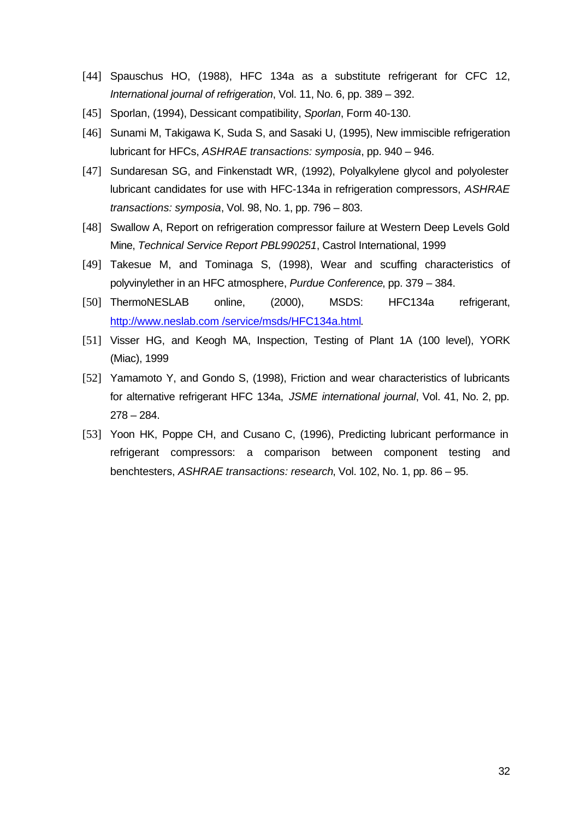- [44] Spauschus HO, (1988), HFC 134a as a substitute refrigerant for CFC 12, *International journal of refrigeration*, Vol. 11, No. 6, pp. 389 – 392.
- [45] Sporlan, (1994), Dessicant compatibility, *Sporlan*, Form 40-130.
- [46] Sunami M, Takigawa K, Suda S, and Sasaki U, (1995), New immiscible refrigeration lubricant for HFCs, *ASHRAE transactions: symposia*, pp. 940 – 946.
- [47] Sundaresan SG, and Finkenstadt WR, (1992), Polyalkylene glycol and polyolester lubricant candidates for use with HFC-134a in refrigeration compressors, *ASHRAE transactions: symposia*, Vol. 98, No. 1, pp. 796 – 803.
- [48] Swallow A, Report on refrigeration compressor failure at Western Deep Levels Gold Mine, *Technical Service Report PBL990251*, Castrol International, 1999
- [49] Takesue M, and Tominaga S, (1998), Wear and scuffing characteristics of polyvinylether in an HFC atmosphere, *Purdue Conference*, pp. 379 – 384.
- [50] ThermoNESLAB online, (2000), MSDS: HFC134a refrigerant, http://www.neslab.com /service/msds/HFC134a.html.
- [51] Visser HG, and Keogh MA, Inspection, Testing of Plant 1A (100 level), YORK (Miac), 1999
- [52] Yamamoto Y, and Gondo S, (1998), Friction and wear characteristics of lubricants for alternative refrigerant HFC 134a, *JSME international journal*, Vol. 41, No. 2, pp.  $278 - 284.$
- [53] Yoon HK, Poppe CH, and Cusano C, (1996), Predicting lubricant performance in refrigerant compressors: a comparison between component testing and benchtesters, *ASHRAE transactions: research*, Vol. 102, No. 1, pp. 86 – 95.